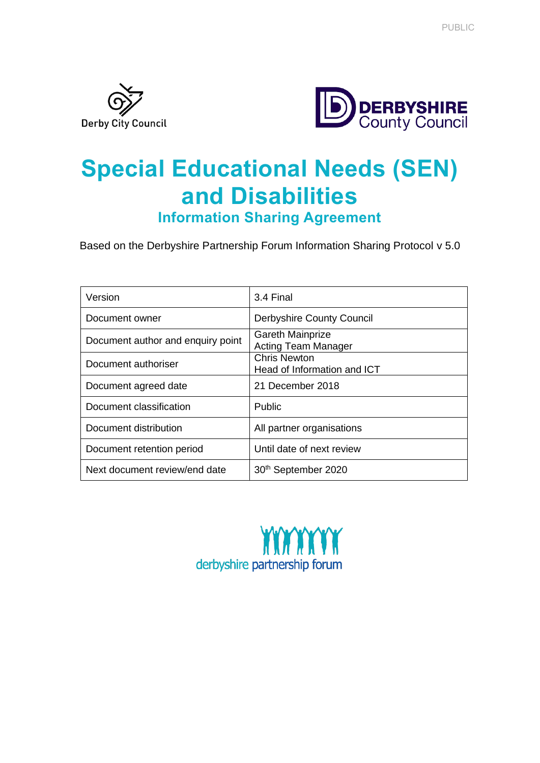



# **Special Educational Needs (SEN) and Disabilities**

**Information Sharing Agreement**

Based on the Derbyshire Partnership Forum Information Sharing Protocol v 5.0

| Version                           | 3.4 Final                                             |
|-----------------------------------|-------------------------------------------------------|
| Document owner                    | <b>Derbyshire County Council</b>                      |
| Document author and enquiry point | <b>Gareth Mainprize</b><br><b>Acting Team Manager</b> |
| Document authoriser               | Chris Newton<br>Head of Information and ICT           |
| Document agreed date              | 21 December 2018                                      |
| Document classification           | Public                                                |
| Document distribution             | All partner organisations                             |
| Document retention period         | Until date of next review                             |
| Next document review/end date     | 30th September 2020                                   |

derbyshire partnership forum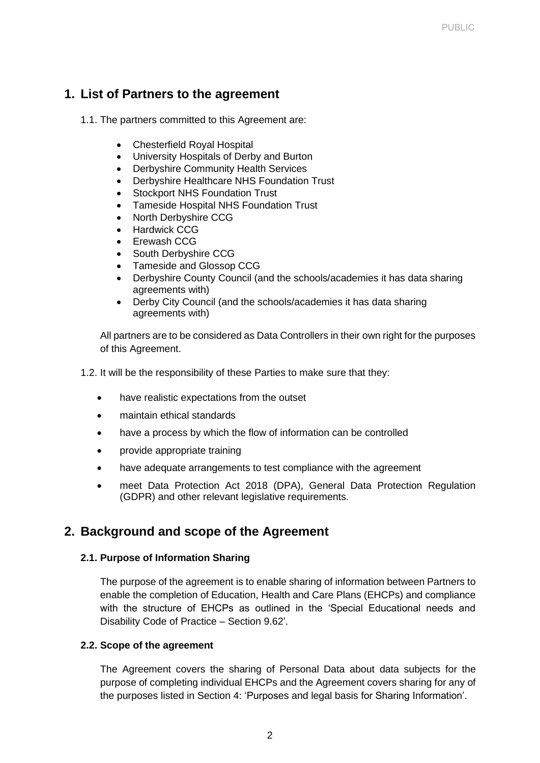# **1. List of Partners to the agreement**

1.1. The partners committed to this Agreement are:

- Chesterfield Royal Hospital
- University Hospitals of Derby and Burton
- Derbyshire Community Health Services
- Derbyshire Healthcare NHS Foundation Trust
- Stockport NHS Foundation Trust
- Tameside Hospital NHS Foundation Trust
- North Derbyshire CCG
- Hardwick CCG
- Erewash CCG
- South Derbyshire CCG
- Tameside and Glossop CCG
- Derbyshire County Council (and the schools/academies it has data sharing agreements with)
- Derby City Council (and the schools/academies it has data sharing agreements with)

All partners are to be considered as Data Controllers in their own right for the purposes of this Agreement.

- 1.2. It will be the responsibility of these Parties to make sure that they:
	- have realistic expectations from the outset
	- maintain ethical standards
	- have a process by which the flow of information can be controlled
	- provide appropriate training
	- have adequate arrangements to test compliance with the agreement
	- meet Data Protection Act 2018 (DPA), General Data Protection Regulation (GDPR) and other relevant legislative requirements.

# **2. Background and scope of the Agreement**

#### **2.1. Purpose of Information Sharing**

The purpose of the agreement is to enable sharing of information between Partners to enable the completion of Education, Health and Care Plans (EHCPs) and compliance with the structure of EHCPs as outlined in the 'Special Educational needs and Disability Code of Practice – Section 9.62'.

#### **2.2. Scope of the agreement**

The Agreement covers the sharing of Personal Data about data subjects for the purpose of completing individual EHCPs and the Agreement covers sharing for any of the purposes listed in Section 4: 'Purposes and legal basis for Sharing Information'.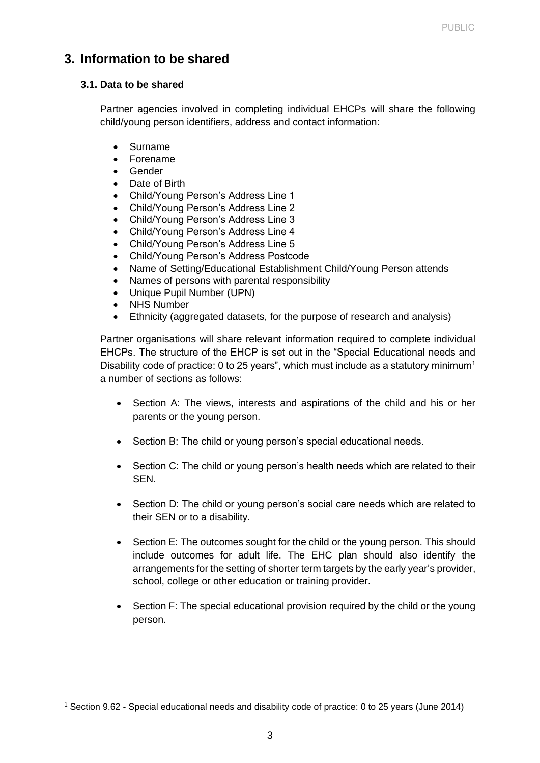# **3. Information to be shared**

#### **3.1. Data to be shared**

Partner agencies involved in completing individual EHCPs will share the following child/young person identifiers, address and contact information:

- Surname
- Forename
- Gender
- Date of Birth
- Child/Young Person's Address Line 1
- Child/Young Person's Address Line 2
- Child/Young Person's Address Line 3
- Child/Young Person's Address Line 4
- Child/Young Person's Address Line 5
- Child/Young Person's Address Postcode
- Name of Setting/Educational Establishment Child/Young Person attends
- Names of persons with parental responsibility
- Unique Pupil Number (UPN)
- **NHS Number**
- Ethnicity (aggregated datasets, for the purpose of research and analysis)

Partner organisations will share relevant information required to complete individual EHCPs. The structure of the EHCP is set out in the "Special Educational needs and Disability code of practice: 0 to 25 years", which must include as a statutory minimum<sup>1</sup> a number of sections as follows:

- Section A: The views, interests and aspirations of the child and his or her parents or the young person.
- Section B: The child or young person's special educational needs.
- Section C: The child or young person's health needs which are related to their SEN.
- Section D: The child or young person's social care needs which are related to their SEN or to a disability.
- Section E: The outcomes sought for the child or the young person. This should include outcomes for adult life. The EHC plan should also identify the arrangements for the setting of shorter term targets by the early year's provider, school, college or other education or training provider.
- Section F: The special educational provision required by the child or the young person.

<sup>1</sup> Section 9.62 - Special educational needs and disability code of practice: 0 to 25 years (June 2014)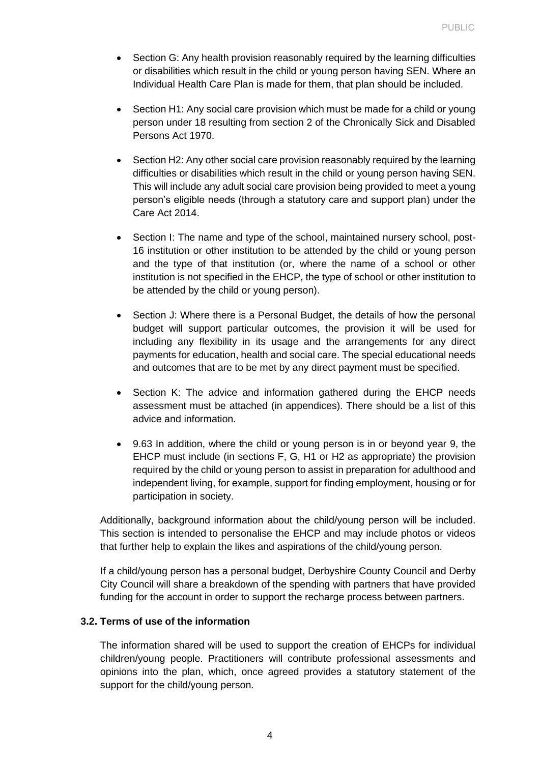- Section G: Any health provision reasonably required by the learning difficulties or disabilities which result in the child or young person having SEN. Where an Individual Health Care Plan is made for them, that plan should be included.
- Section H1: Any social care provision which must be made for a child or young person under 18 resulting from section 2 of the Chronically Sick and Disabled Persons Act 1970.
- Section H2: Any other social care provision reasonably required by the learning difficulties or disabilities which result in the child or young person having SEN. This will include any adult social care provision being provided to meet a young person's eligible needs (through a statutory care and support plan) under the Care Act 2014.
- Section I: The name and type of the school, maintained nursery school, post-16 institution or other institution to be attended by the child or young person and the type of that institution (or, where the name of a school or other institution is not specified in the EHCP, the type of school or other institution to be attended by the child or young person).
- Section J: Where there is a Personal Budget, the details of how the personal budget will support particular outcomes, the provision it will be used for including any flexibility in its usage and the arrangements for any direct payments for education, health and social care. The special educational needs and outcomes that are to be met by any direct payment must be specified.
- Section K: The advice and information gathered during the EHCP needs assessment must be attached (in appendices). There should be a list of this advice and information.
- 9.63 In addition, where the child or young person is in or beyond year 9, the EHCP must include (in sections F, G, H1 or H2 as appropriate) the provision required by the child or young person to assist in preparation for adulthood and independent living, for example, support for finding employment, housing or for participation in society.

Additionally, background information about the child/young person will be included. This section is intended to personalise the EHCP and may include photos or videos that further help to explain the likes and aspirations of the child/young person.

If a child/young person has a personal budget, Derbyshire County Council and Derby City Council will share a breakdown of the spending with partners that have provided funding for the account in order to support the recharge process between partners.

#### **3.2. Terms of use of the information**

The information shared will be used to support the creation of EHCPs for individual children/young people. Practitioners will contribute professional assessments and opinions into the plan, which, once agreed provides a statutory statement of the support for the child/young person.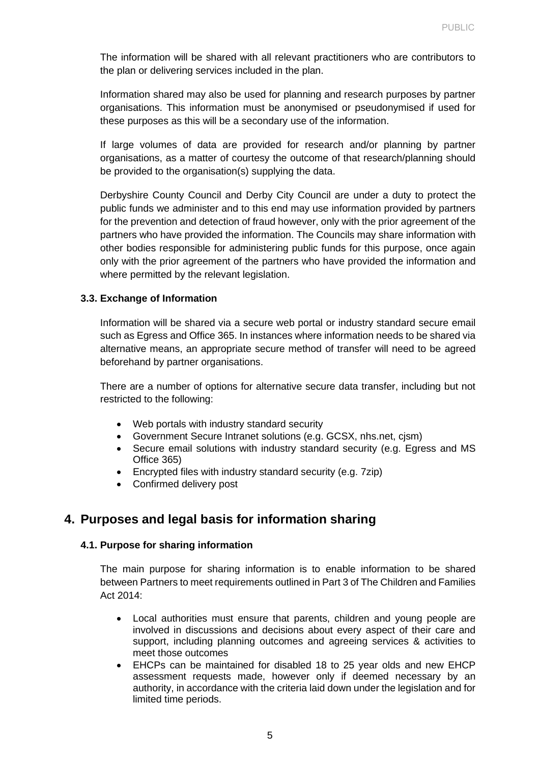The information will be shared with all relevant practitioners who are contributors to the plan or delivering services included in the plan.

Information shared may also be used for planning and research purposes by partner organisations. This information must be anonymised or pseudonymised if used for these purposes as this will be a secondary use of the information.

If large volumes of data are provided for research and/or planning by partner organisations, as a matter of courtesy the outcome of that research/planning should be provided to the organisation(s) supplying the data.

Derbyshire County Council and Derby City Council are under a duty to protect the public funds we administer and to this end may use information provided by partners for the prevention and detection of fraud however, only with the prior agreement of the partners who have provided the information. The Councils may share information with other bodies responsible for administering public funds for this purpose, once again only with the prior agreement of the partners who have provided the information and where permitted by the relevant legislation.

#### **3.3. Exchange of Information**

Information will be shared via a secure web portal or industry standard secure email such as Egress and Office 365. In instances where information needs to be shared via alternative means, an appropriate secure method of transfer will need to be agreed beforehand by partner organisations.

There are a number of options for alternative secure data transfer, including but not restricted to the following:

- Web portals with industry standard security
- Government Secure Intranet solutions (e.g. GCSX, nhs.net. cism)
- Secure email solutions with industry standard security (e.g. Egress and MS Office 365)
- Encrypted files with industry standard security (e.g. 7zip)
- Confirmed delivery post

# **4. Purposes and legal basis for information sharing**

#### **4.1. Purpose for sharing information**

The main purpose for sharing information is to enable information to be shared between Partners to meet requirements outlined in Part 3 of The Children and Families Act 2014:

- Local authorities must ensure that parents, children and young people are involved in discussions and decisions about every aspect of their care and support, including planning outcomes and agreeing services & activities to meet those outcomes
- EHCPs can be maintained for disabled 18 to 25 year olds and new EHCP assessment requests made, however only if deemed necessary by an authority, in accordance with the criteria laid down under the legislation and for limited time periods.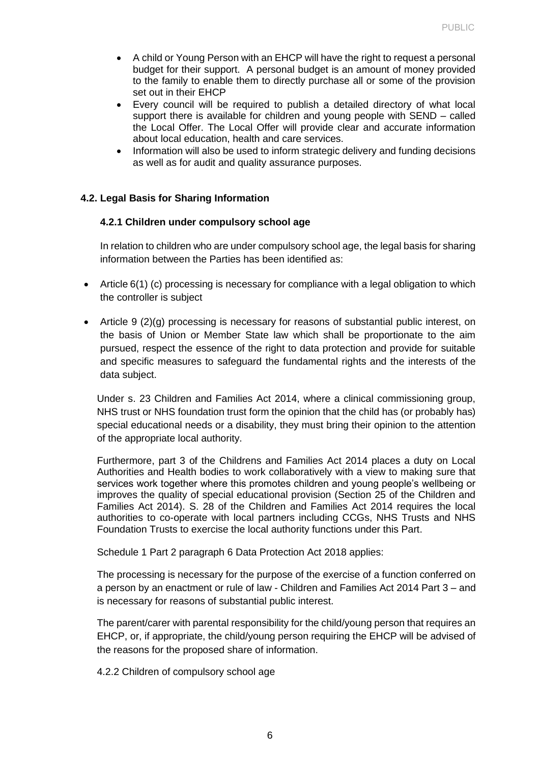- A child or Young Person with an EHCP will have the right to request a personal budget for their support. A personal budget is an amount of money provided to the family to enable them to directly purchase all or some of the provision set out in their EHCP
- Every council will be required to publish a detailed directory of what local support there is available for children and young people with SEND – called the Local Offer. The Local Offer will provide clear and accurate information about local education, health and care services.
- Information will also be used to inform strategic delivery and funding decisions as well as for audit and quality assurance purposes.

#### **4.2. Legal Basis for Sharing Information**

#### **4.2.1 Children under compulsory school age**

In relation to children who are under compulsory school age, the legal basis for sharing information between the Parties has been identified as:

- Article 6(1) (c) processing is necessary for compliance with a legal obligation to which the controller is subject
- Article 9 (2)(g) processing is necessary for reasons of substantial public interest, on the basis of Union or Member State law which shall be proportionate to the aim pursued, respect the essence of the right to data protection and provide for suitable and specific measures to safeguard the fundamental rights and the interests of the data subject.

Under s. 23 Children and Families Act 2014, where a clinical commissioning group, NHS trust or NHS foundation trust form the opinion that the child has (or probably has) special educational needs or a disability, they must bring their opinion to the attention of the appropriate local authority.

Furthermore, part 3 of the Childrens and Families Act 2014 places a duty on Local Authorities and Health bodies to work collaboratively with a view to making sure that services work together where this promotes children and young people's wellbeing or improves the quality of special educational provision (Section 25 of the Children and Families Act 2014). S. 28 of the Children and Families Act 2014 requires the local authorities to co-operate with local partners including CCGs, NHS Trusts and NHS Foundation Trusts to exercise the local authority functions under this Part.

Schedule 1 Part 2 paragraph 6 Data Protection Act 2018 applies:

The processing is necessary for the purpose of the exercise of a function conferred on a person by an enactment or rule of law - Children and Families Act 2014 Part 3 – and is necessary for reasons of substantial public interest.

The parent/carer with parental responsibility for the child/young person that requires an EHCP, or, if appropriate, the child/young person requiring the EHCP will be advised of the reasons for the proposed share of information.

4.2.2 Children of compulsory school age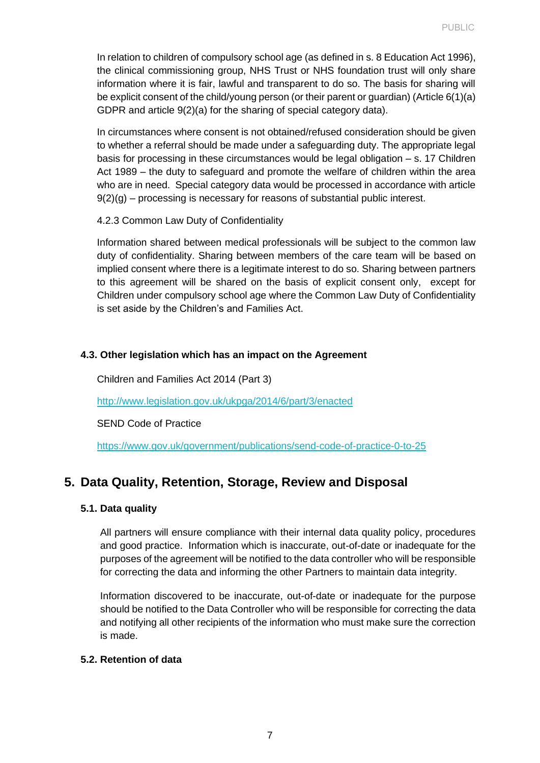In relation to children of compulsory school age (as defined in s. 8 Education Act 1996), the clinical commissioning group, NHS Trust or NHS foundation trust will only share information where it is fair, lawful and transparent to do so. The basis for sharing will be explicit consent of the child/young person (or their parent or guardian) (Article 6(1)(a) GDPR and article 9(2)(a) for the sharing of special category data).

In circumstances where consent is not obtained/refused consideration should be given to whether a referral should be made under a safeguarding duty. The appropriate legal basis for processing in these circumstances would be legal obligation – s. 17 Children Act 1989 – the duty to safeguard and promote the welfare of children within the area who are in need. Special category data would be processed in accordance with article  $9(2)(q)$  – processing is necessary for reasons of substantial public interest.

4.2.3 Common Law Duty of Confidentiality

Information shared between medical professionals will be subject to the common law duty of confidentiality. Sharing between members of the care team will be based on implied consent where there is a legitimate interest to do so. Sharing between partners to this agreement will be shared on the basis of explicit consent only, except for Children under compulsory school age where the Common Law Duty of Confidentiality is set aside by the Children's and Families Act.

#### **4.3. Other legislation which has an impact on the Agreement**

Children and Families Act 2014 (Part 3)

<http://www.legislation.gov.uk/ukpga/2014/6/part/3/enacted>

SEND Code of Practice

<https://www.gov.uk/government/publications/send-code-of-practice-0-to-25>

# **5. Data Quality, Retention, Storage, Review and Disposal**

#### **5.1. Data quality**

All partners will ensure compliance with their internal data quality policy, procedures and good practice. Information which is inaccurate, out-of-date or inadequate for the purposes of the agreement will be notified to the data controller who will be responsible for correcting the data and informing the other Partners to maintain data integrity.

Information discovered to be inaccurate, out-of-date or inadequate for the purpose should be notified to the Data Controller who will be responsible for correcting the data and notifying all other recipients of the information who must make sure the correction is made.

## **5.2. Retention of data**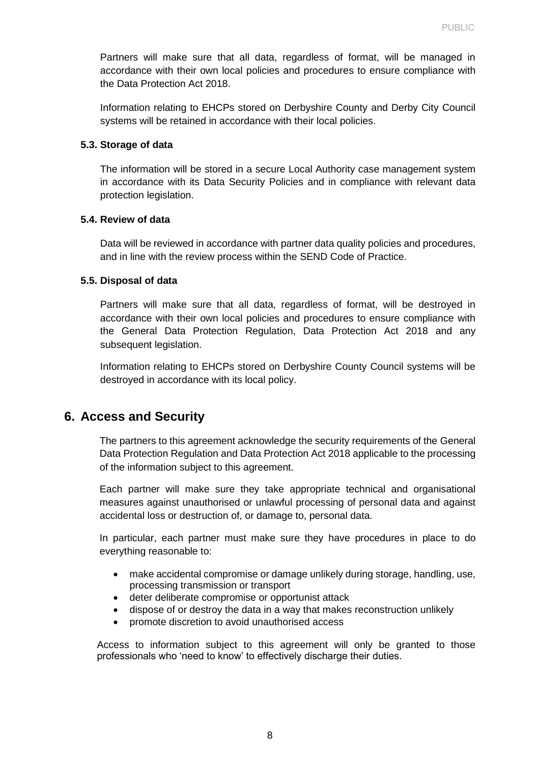Partners will make sure that all data, regardless of format, will be managed in accordance with their own local policies and procedures to ensure compliance with the Data Protection Act 2018.

Information relating to EHCPs stored on Derbyshire County and Derby City Council systems will be retained in accordance with their local policies.

#### **5.3. Storage of data**

The information will be stored in a secure Local Authority case management system in accordance with its Data Security Policies and in compliance with relevant data protection legislation.

#### **5.4. Review of data**

Data will be reviewed in accordance with partner data quality policies and procedures, and in line with the review process within the SEND Code of Practice.

#### **5.5. Disposal of data**

Partners will make sure that all data, regardless of format, will be destroyed in accordance with their own local policies and procedures to ensure compliance with the General Data Protection Regulation, Data Protection Act 2018 and any subsequent legislation.

Information relating to EHCPs stored on Derbyshire County Council systems will be destroyed in accordance with its local policy.

# **6. Access and Security**

The partners to this agreement acknowledge the security requirements of the General Data Protection Regulation and Data Protection Act 2018 applicable to the processing of the information subject to this agreement.

Each partner will make sure they take appropriate technical and organisational measures against unauthorised or unlawful processing of personal data and against accidental loss or destruction of, or damage to, personal data.

In particular, each partner must make sure they have procedures in place to do everything reasonable to:

- make accidental compromise or damage unlikely during storage, handling, use, processing transmission or transport
- deter deliberate compromise or opportunist attack
- dispose of or destroy the data in a way that makes reconstruction unlikely
- promote discretion to avoid unauthorised access

Access to information subject to this agreement will only be granted to those professionals who 'need to know' to effectively discharge their duties.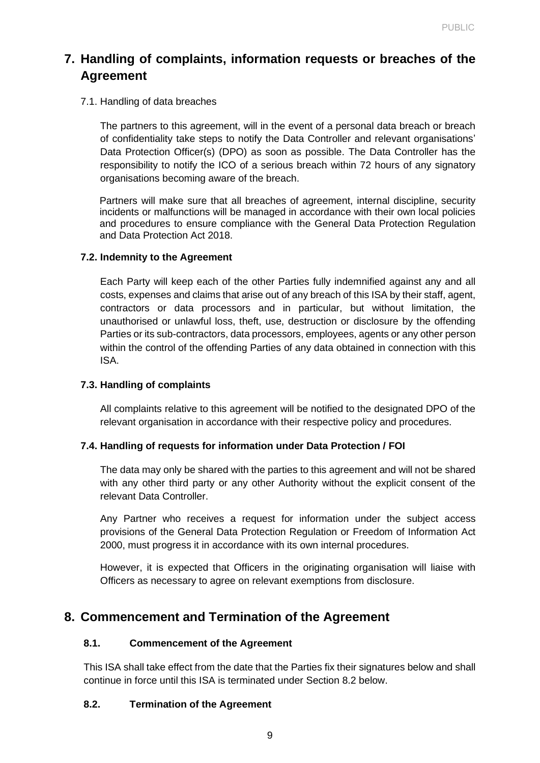# **7. Handling of complaints, information requests or breaches of the Agreement**

#### 7.1. Handling of data breaches

The partners to this agreement, will in the event of a personal data breach or breach of confidentiality take steps to notify the Data Controller and relevant organisations' Data Protection Officer(s) (DPO) as soon as possible. The Data Controller has the responsibility to notify the ICO of a serious breach within 72 hours of any signatory organisations becoming aware of the breach.

Partners will make sure that all breaches of agreement, internal discipline, security incidents or malfunctions will be managed in accordance with their own local policies and procedures to ensure compliance with the General Data Protection Regulation and Data Protection Act 2018.

#### **7.2. Indemnity to the Agreement**

Each Party will keep each of the other Parties fully indemnified against any and all costs, expenses and claims that arise out of any breach of this ISA by their staff, agent, contractors or data processors and in particular, but without limitation, the unauthorised or unlawful loss, theft, use, destruction or disclosure by the offending Parties or its sub-contractors, data processors, employees, agents or any other person within the control of the offending Parties of any data obtained in connection with this ISA.

#### **7.3. Handling of complaints**

All complaints relative to this agreement will be notified to the designated DPO of the relevant organisation in accordance with their respective policy and procedures.

## **7.4. Handling of requests for information under Data Protection / FOI**

The data may only be shared with the parties to this agreement and will not be shared with any other third party or any other Authority without the explicit consent of the relevant Data Controller.

Any Partner who receives a request for information under the subject access provisions of the General Data Protection Regulation or Freedom of Information Act 2000, must progress it in accordance with its own internal procedures.

However, it is expected that Officers in the originating organisation will liaise with Officers as necessary to agree on relevant exemptions from disclosure.

# **8. Commencement and Termination of the Agreement**

#### **8.1. Commencement of the Agreement**

This ISA shall take effect from the date that the Parties fix their signatures below and shall continue in force until this ISA is terminated under Section 8.2 below.

## **8.2. Termination of the Agreement**